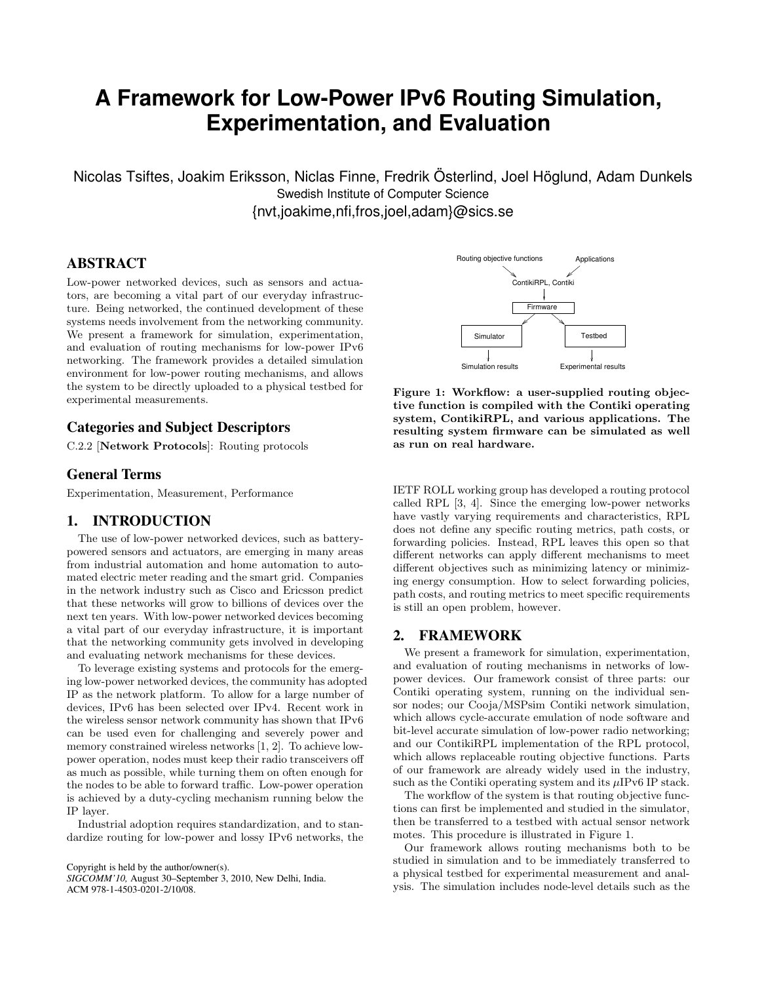# **A Framework for Low-Power IPv6 Routing Simulation, Experimentation, and Evaluation**

Nicolas Tsiftes, Joakim Eriksson, Niclas Finne, Fredrik Österlind, Joel Höglund, Adam Dunkels Swedish Institute of Computer Science {nvt,joakime,nfi,fros,joel,adam}@sics.se

# **ABSTRACT**

Low-power networked devices, such as sensors and actuators, are becoming a vital part of our everyday infrastructure. Being networked, the continued development of these systems needs involvement from the networking community. We present a framework for simulation, experimentation, and evaluation of routing mechanisms for low-power IPv6 networking. The framework provides a detailed simulation environment for low-power routing mechanisms, and allows the system to be directly uploaded to a physical testbed for experimental measurements.

# **Categories and Subject Descriptors**

C.2.2 [Network Protocols]: Routing protocols

#### **General Terms**

Experimentation, Measurement, Performance

## **1. INTRODUCTION**

The use of low-power networked devices, such as batterypowered sensors and actuators, are emerging in many areas from industrial automation and home automation to automated electric meter reading and the smart grid. Companies in the network industry such as Cisco and Ericsson predict that these networks will grow to billions of devices over the next ten years. With low-power networked devices becoming a vital part of our everyday infrastructure, it is important that the networking community gets involved in developing and evaluating network mechanisms for these devices.

To leverage existing systems and protocols for the emerging low-power networked devices, the community has adopted IP as the network platform. To allow for a large number of devices, IPv6 has been selected over IPv4. Recent work in the wireless sensor network community has shown that IPv6 can be used even for challenging and severely power and memory constrained wireless networks [1, 2]. To achieve lowpower operation, nodes must keep their radio transceivers off as much as possible, while turning them on often enough for the nodes to be able to forward traffic. Low-power operation is achieved by a duty-cycling mechanism running below the IP layer.

Industrial adoption requires standardization, and to standardize routing for low-power and lossy IPv6 networks, the

Copyright is held by the author/owner(s). *SIGCOMM'10,* August 30–September 3, 2010, New Delhi, India. ACM 978-1-4503-0201-2/10/08.



Figure 1: Workflow: a user-supplied routing objective function is compiled with the Contiki operating system, ContikiRPL, and various applications. The resulting system firmware can be simulated as well as run on real hardware.

IETF ROLL working group has developed a routing protocol called RPL [3, 4]. Since the emerging low-power networks have vastly varying requirements and characteristics, RPL does not define any specific routing metrics, path costs, or forwarding policies. Instead, RPL leaves this open so that different networks can apply different mechanisms to meet different objectives such as minimizing latency or minimizing energy consumption. How to select forwarding policies, path costs, and routing metrics to meet specific requirements is still an open problem, however.

### **2. FRAMEWORK**

We present a framework for simulation, experimentation, and evaluation of routing mechanisms in networks of lowpower devices. Our framework consist of three parts: our Contiki operating system, running on the individual sensor nodes; our Cooja/MSPsim Contiki network simulation, which allows cycle-accurate emulation of node software and bit-level accurate simulation of low-power radio networking; and our ContikiRPL implementation of the RPL protocol, which allows replaceable routing objective functions. Parts of our framework are already widely used in the industry, such as the Contiki operating system and its  $\mu$ IPv6 IP stack.

The workflow of the system is that routing objective functions can first be implemented and studied in the simulator, then be transferred to a testbed with actual sensor network motes. This procedure is illustrated in Figure 1.

Our framework allows routing mechanisms both to be studied in simulation and to be immediately transferred to a physical testbed for experimental measurement and analysis. The simulation includes node-level details such as the